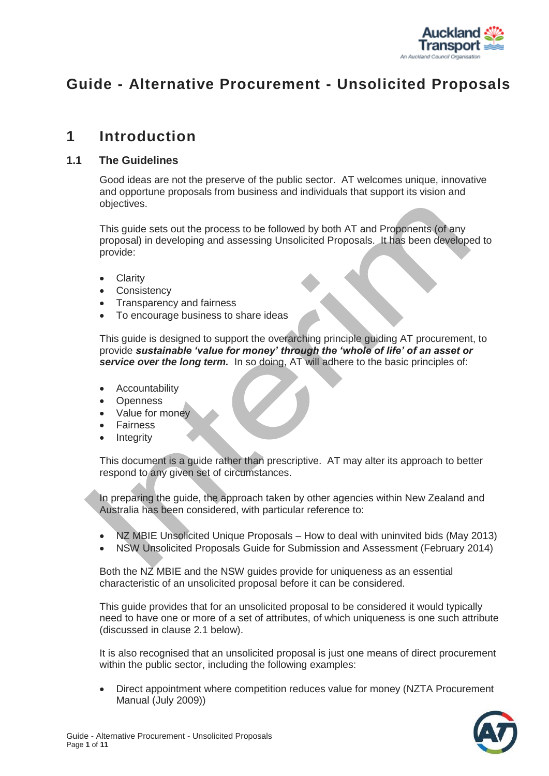

# **Guide - Alternative Procurement - Unsolicited Proposals**

# **1 Introduction**

#### **1.1 The Guidelines**

Good ideas are not the preserve of the public sector. AT welcomes unique, innovative and opportune proposals from business and individuals that support its vision and objectives.

This guide sets out the process to be followed by both AT and Proponents (of any proposal) in developing and assessing Unsolicited Proposals. It has been developed to provide:

- Clarity
- Consistency
- Transparency and fairness
- To encourage business to share ideas

This guide is designed to support the overarching principle guiding AT procurement, to provide *sustainable 'value for money' through the 'whole of life' of an asset or*  **service over the long term.** In so doing, AT will adhere to the basic principles of:

- Accountability
- **Openness**
- Value for money
- Fairness
- **Integrity**

This document is a guide rather than prescriptive. AT may alter its approach to better respond to any given set of circumstances.

In preparing the guide, the approach taken by other agencies within New Zealand and Australia has been considered, with particular reference to:

- NZ MBIE Unsolicited Unique Proposals How to deal with uninvited bids (May 2013)
- NSW Unsolicited Proposals Guide for Submission and Assessment (February 2014)

Both the NZ MBIE and the NSW guides provide for uniqueness as an essential characteristic of an unsolicited proposal before it can be considered.

This guide provides that for an unsolicited proposal to be considered it would typically need to have one or more of a set of attributes, of which uniqueness is one such attribute (discussed in clause 2.1 below).

It is also recognised that an unsolicited proposal is just one means of direct procurement within the public sector, including the following examples:

 Direct appointment where competition reduces value for money (NZTA Procurement Manual (July 2009))

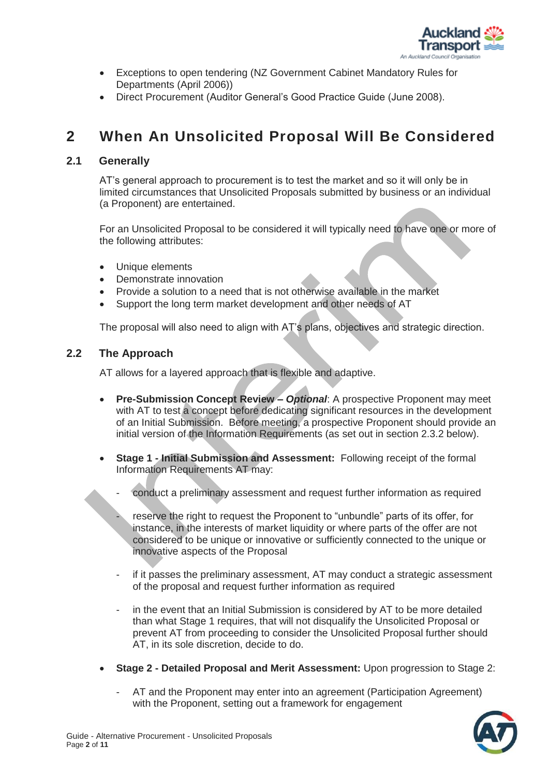

- Exceptions to open tendering (NZ Government Cabinet Mandatory Rules for Departments (April 2006))
- Direct Procurement (Auditor General's Good Practice Guide (June 2008).

# **2 When An Unsolicited Proposal Will Be Considered**

## **2.1 Generally**

AT's general approach to procurement is to test the market and so it will only be in limited circumstances that Unsolicited Proposals submitted by business or an individual (a Proponent) are entertained.

For an Unsolicited Proposal to be considered it will typically need to have one or more of the following attributes:

- Unique elements
- Demonstrate innovation
- Provide a solution to a need that is not otherwise available in the market
- Support the long term market development and other needs of AT

The proposal will also need to align with AT's plans, objectives and strategic direction.

## **2.2 The Approach**

AT allows for a layered approach that is flexible and adaptive.

- **Pre-Submission Concept Review –** *Optional*: A prospective Proponent may meet with AT to test a concept before dedicating significant resources in the development of an Initial Submission. Before meeting, a prospective Proponent should provide an initial version of the Information Requirements (as set out in section 2.3.2 below).
- **Stage 1 - Initial Submission and Assessment:** Following receipt of the formal Information Requirements AT may:
	- conduct a preliminary assessment and request further information as required
	- reserve the right to request the Proponent to "unbundle" parts of its offer, for instance, in the interests of market liquidity or where parts of the offer are not considered to be unique or innovative or sufficiently connected to the unique or innovative aspects of the Proposal
	- if it passes the preliminary assessment, AT may conduct a strategic assessment of the proposal and request further information as required
	- in the event that an Initial Submission is considered by AT to be more detailed than what Stage 1 requires, that will not disqualify the Unsolicited Proposal or prevent AT from proceeding to consider the Unsolicited Proposal further should AT, in its sole discretion, decide to do.
- **Stage 2 - Detailed Proposal and Merit Assessment:** Upon progression to Stage 2:
	- AT and the Proponent may enter into an agreement (Participation Agreement) with the Proponent, setting out a framework for engagement

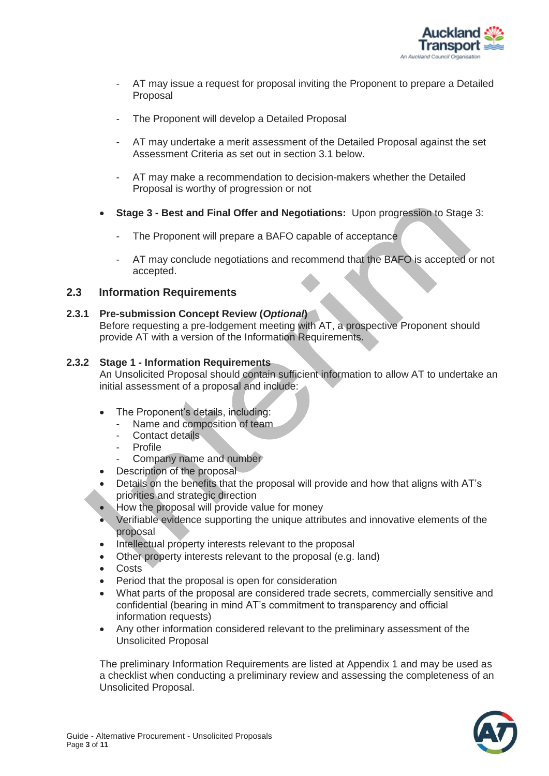

- AT may issue a request for proposal inviting the Proponent to prepare a Detailed Proposal
- The Proponent will develop a Detailed Proposal
- AT may undertake a merit assessment of the Detailed Proposal against the set Assessment Criteria as set out in section 3.1 below.
- AT may make a recommendation to decision-makers whether the Detailed Proposal is worthy of progression or not
- **Stage 3 - Best and Final Offer and Negotiations:** Upon progression to Stage 3:
	- The Proponent will prepare a BAFO capable of acceptance
	- AT may conclude negotiations and recommend that the BAFO is accepted or not accepted.

#### **2.3 Information Requirements**

#### **2.3.1 Pre-submission Concept Review (***Optional***)**

Before requesting a pre-lodgement meeting with AT, a prospective Proponent should provide AT with a version of the Information Requirements.

#### **2.3.2 Stage 1 - Information Requirements**

An Unsolicited Proposal should contain sufficient information to allow AT to undertake an initial assessment of a proposal and include:

- The Proponent's details, including:
	- Name and composition of team
	- Contact details
	- **Profile**
	- Company name and number
- Description of the proposal
- Details on the benefits that the proposal will provide and how that aligns with AT's priorities and strategic direction
- How the proposal will provide value for money
- Verifiable evidence supporting the unique attributes and innovative elements of the proposal
- Intellectual property interests relevant to the proposal
- Other property interests relevant to the proposal (e.g. land)
- **Costs**
- Period that the proposal is open for consideration
- What parts of the proposal are considered trade secrets, commercially sensitive and confidential (bearing in mind AT's commitment to transparency and official information requests)
- Any other information considered relevant to the preliminary assessment of the Unsolicited Proposal

The preliminary Information Requirements are listed at Appendix 1 and may be used as a checklist when conducting a preliminary review and assessing the completeness of an Unsolicited Proposal.

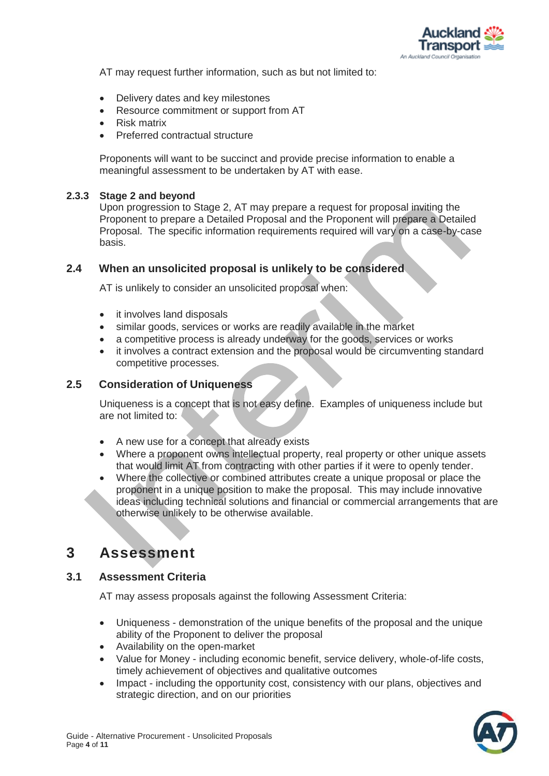

AT may request further information, such as but not limited to:

- Delivery dates and key milestones
- Resource commitment or support from AT
- Risk matrix
- Preferred contractual structure

Proponents will want to be succinct and provide precise information to enable a meaningful assessment to be undertaken by AT with ease.

#### **2.3.3 Stage 2 and beyond**

Upon progression to Stage 2, AT may prepare a request for proposal inviting the Proponent to prepare a Detailed Proposal and the Proponent will prepare a Detailed Proposal. The specific information requirements required will vary on a case-by-case basis.

## **2.4 When an unsolicited proposal is unlikely to be considered**

AT is unlikely to consider an unsolicited proposal when:

- it involves land disposals
- similar goods, services or works are readily available in the market
- a competitive process is already underway for the goods, services or works
- it involves a contract extension and the proposal would be circumventing standard competitive processes.

#### **2.5 Consideration of Uniqueness**

Uniqueness is a concept that is not easy define. Examples of uniqueness include but are not limited to:

- A new use for a concept that already exists
- Where a proponent owns intellectual property, real property or other unique assets that would limit AT from contracting with other parties if it were to openly tender.
- Where the collective or combined attributes create a unique proposal or place the proponent in a unique position to make the proposal. This may include innovative ideas including technical solutions and financial or commercial arrangements that are otherwise unlikely to be otherwise available.

# **3 Assessment**

#### **3.1 Assessment Criteria**

AT may assess proposals against the following Assessment Criteria:

- Uniqueness demonstration of the unique benefits of the proposal and the unique ability of the Proponent to deliver the proposal
- Availability on the open-market
- Value for Money including economic benefit, service delivery, whole-of-life costs, timely achievement of objectives and qualitative outcomes
- Impact including the opportunity cost, consistency with our plans, objectives and strategic direction, and on our priorities

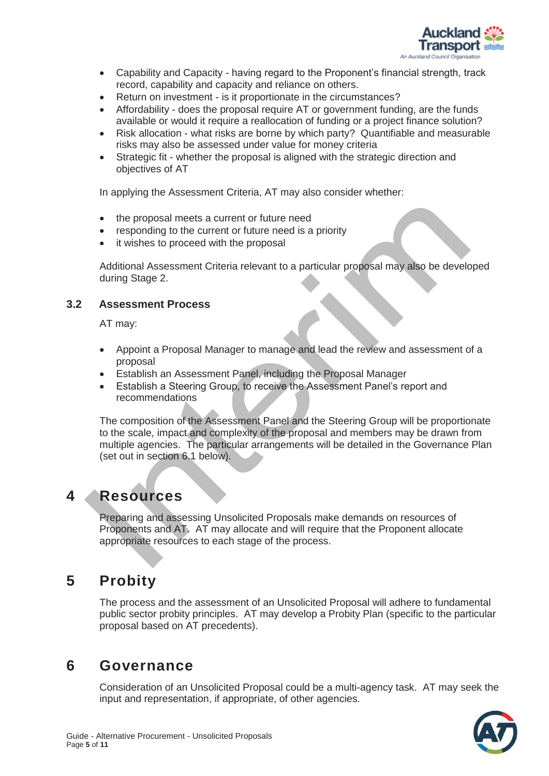

- Capability and Capacity having regard to the Proponent's financial strength, track record, capability and capacity and reliance on others.
- Return on investment is it proportionate in the circumstances?
- Affordability does the proposal require AT or government funding, are the funds available or would it require a reallocation of funding or a project finance solution?
- Risk allocation what risks are borne by which party? Quantifiable and measurable risks may also be assessed under value for money criteria
- Strategic fit whether the proposal is aligned with the strategic direction and objectives of AT

In applying the Assessment Criteria, AT may also consider whether:

- the proposal meets a current or future need
- responding to the current or future need is a priority
- it wishes to proceed with the proposal

Additional Assessment Criteria relevant to a particular proposal may also be developed during Stage 2.

## **3.2 Assessment Process**

AT may:

- Appoint a Proposal Manager to manage and lead the review and assessment of a proposal
- Establish an Assessment Panel, including the Proposal Manager
- Establish a Steering Group, to receive the Assessment Panel's report and recommendations

The composition of the Assessment Panel and the Steering Group will be proportionate to the scale, impact and complexity of the proposal and members may be drawn from multiple agencies. The particular arrangements will be detailed in the Governance Plan (set out in section 6.1 below).

# **4 Resources**

Preparing and assessing Unsolicited Proposals make demands on resources of Proponents and AT. AT may allocate and will require that the Proponent allocate appropriate resources to each stage of the process.

# **5 Probity**

The process and the assessment of an Unsolicited Proposal will adhere to fundamental public sector probity principles. AT may develop a Probity Plan (specific to the particular proposal based on AT precedents).

# **6 Governance**

Consideration of an Unsolicited Proposal could be a multi-agency task. AT may seek the input and representation, if appropriate, of other agencies.

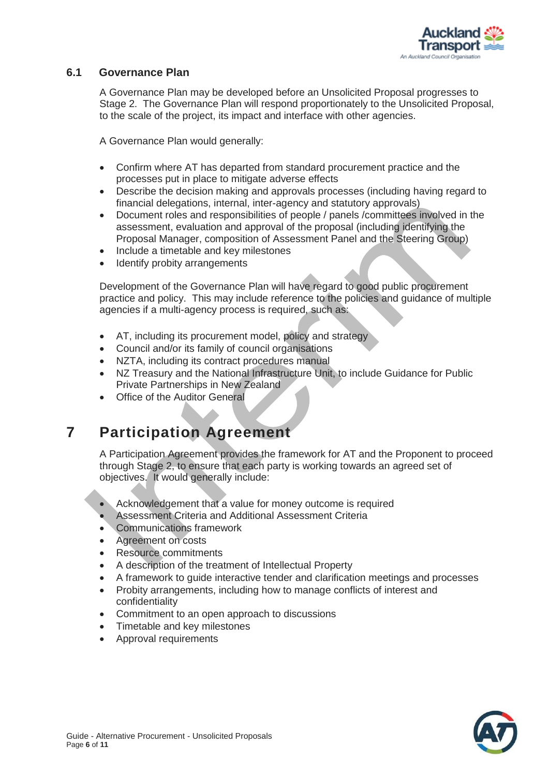

## **6.1 Governance Plan**

A Governance Plan may be developed before an Unsolicited Proposal progresses to Stage 2. The Governance Plan will respond proportionately to the Unsolicited Proposal, to the scale of the project, its impact and interface with other agencies.

A Governance Plan would generally:

- Confirm where AT has departed from standard procurement practice and the processes put in place to mitigate adverse effects
- Describe the decision making and approvals processes (including having regard to financial delegations, internal, inter-agency and statutory approvals)
- Document roles and responsibilities of people / panels /committees involved in the assessment, evaluation and approval of the proposal (including identifying the Proposal Manager, composition of Assessment Panel and the Steering Group)
- Include a timetable and key milestones
- Identify probity arrangements

Development of the Governance Plan will have regard to good public procurement practice and policy. This may include reference to the policies and guidance of multiple agencies if a multi-agency process is required, such as:

- AT, including its procurement model, policy and strategy
- Council and/or its family of council organisations
- NZTA, including its contract procedures manual
- NZ Treasury and the National Infrastructure Unit, to include Guidance for Public Private Partnerships in New Zealand
- Office of the Auditor General

# **7 Participation Agreement**

A Participation Agreement provides the framework for AT and the Proponent to proceed through Stage 2, to ensure that each party is working towards an agreed set of objectives. It would generally include:

- Acknowledgement that a value for money outcome is required
- Assessment Criteria and Additional Assessment Criteria
- Communications framework
- Agreement on costs
- Resource commitments
- A description of the treatment of Intellectual Property
- A framework to guide interactive tender and clarification meetings and processes
- Probity arrangements, including how to manage conflicts of interest and confidentiality
- Commitment to an open approach to discussions
- Timetable and key milestones
- Approval requirements

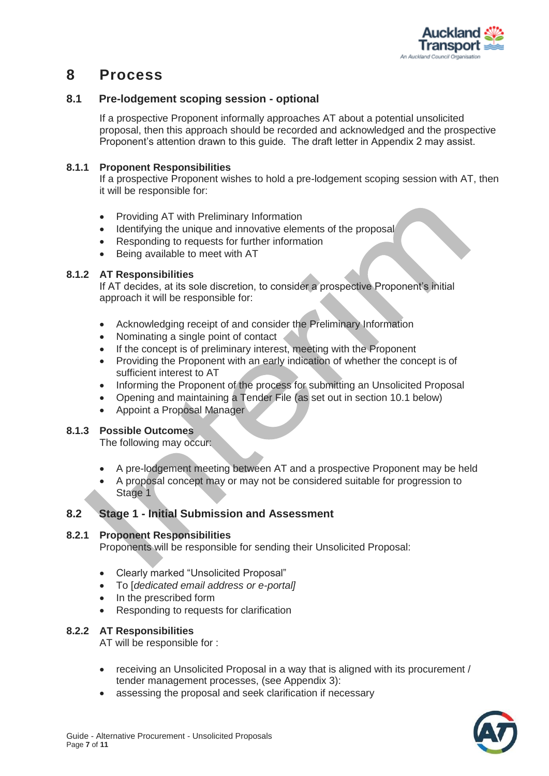

# **8 Process**

## **8.1 Pre-lodgement scoping session - optional**

If a prospective Proponent informally approaches AT about a potential unsolicited proposal, then this approach should be recorded and acknowledged and the prospective Proponent's attention drawn to this guide. The draft letter in Appendix 2 may assist.

#### **8.1.1 Proponent Responsibilities**

If a prospective Proponent wishes to hold a pre-lodgement scoping session with AT, then it will be responsible for:

- Providing AT with Preliminary Information
- Identifying the unique and innovative elements of the proposal
- Responding to requests for further information
- Being available to meet with AT

#### **8.1.2 AT Responsibilities**

If AT decides, at its sole discretion, to consider a prospective Proponent's initial approach it will be responsible for:

- Acknowledging receipt of and consider the Preliminary Information
- Nominating a single point of contact
- If the concept is of preliminary interest, meeting with the Proponent
- Providing the Proponent with an early indication of whether the concept is of sufficient interest to AT
- Informing the Proponent of the process for submitting an Unsolicited Proposal
- Opening and maintaining a Tender File (as set out in section 10.1 below)
- Appoint a Proposal Manager

## **8.1.3 Possible Outcomes**

The following may occur:

- A pre-lodgement meeting between AT and a prospective Proponent may be held
- A proposal concept may or may not be considered suitable for progression to Stage 1

## **8.2 Stage 1 - Initial Submission and Assessment**

#### **8.2.1 Proponent Responsibilities**

Proponents will be responsible for sending their Unsolicited Proposal:

- Clearly marked "Unsolicited Proposal"
- To [*dedicated email address or e-portal]*
- In the prescribed form
- Responding to requests for clarification

## **8.2.2 AT Responsibilities**

AT will be responsible for :

- receiving an Unsolicited Proposal in a way that is aligned with its procurement / tender management processes, (see Appendix 3):
- assessing the proposal and seek clarification if necessary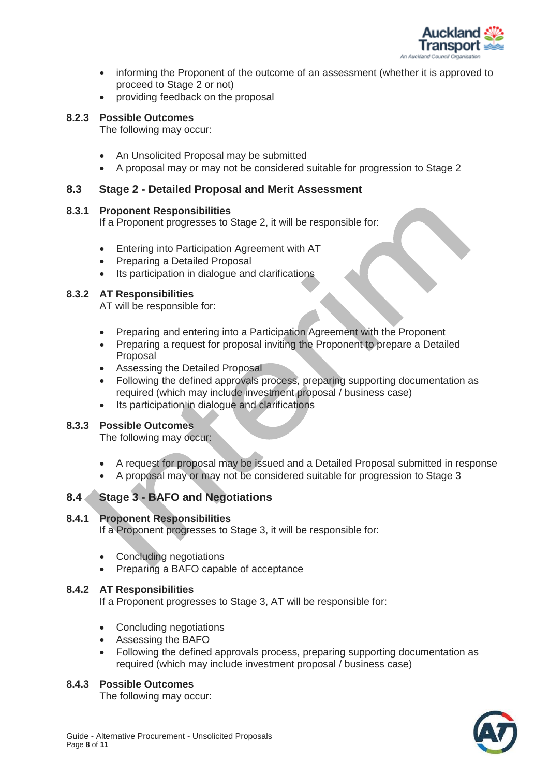

- informing the Proponent of the outcome of an assessment (whether it is approved to proceed to Stage 2 or not)
- providing feedback on the proposal

#### **8.2.3 Possible Outcomes**

The following may occur:

- An Unsolicited Proposal may be submitted
- A proposal may or may not be considered suitable for progression to Stage 2

## **8.3 Stage 2 - Detailed Proposal and Merit Assessment**

#### **8.3.1 Proponent Responsibilities**

If a Proponent progresses to Stage 2, it will be responsible for:

- Entering into Participation Agreement with AT
- Preparing a Detailed Proposal
- Its participation in dialogue and clarifications

## **8.3.2 AT Responsibilities**

AT will be responsible for:

- Preparing and entering into a Participation Agreement with the Proponent
- Preparing a request for proposal inviting the Proponent to prepare a Detailed Proposal
- Assessing the Detailed Proposal
- Following the defined approvals process, preparing supporting documentation as required (which may include investment proposal / business case)
- Its participation in dialogue and clarifications

## **8.3.3 Possible Outcomes**

The following may occur:

- A request for proposal may be issued and a Detailed Proposal submitted in response
- A proposal may or may not be considered suitable for progression to Stage 3

## **8.4 Stage 3 - BAFO and Negotiations**

#### **8.4.1 Proponent Responsibilities**

If a Proponent progresses to Stage 3, it will be responsible for:

- Concluding negotiations
- Preparing a BAFO capable of acceptance

## **8.4.2 AT Responsibilities**

If a Proponent progresses to Stage 3, AT will be responsible for:

- Concluding negotiations
- Assessing the BAFO
- Following the defined approvals process, preparing supporting documentation as required (which may include investment proposal / business case)

## **8.4.3 Possible Outcomes**

The following may occur:

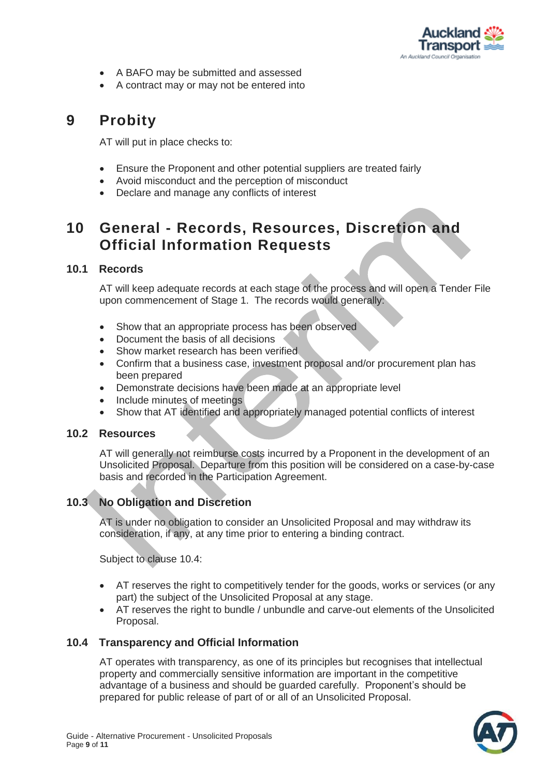

- A BAFO may be submitted and assessed
- A contract may or may not be entered into

# **9 Probity**

AT will put in place checks to:

- Ensure the Proponent and other potential suppliers are treated fairly
- Avoid misconduct and the perception of misconduct
- Declare and manage any conflicts of interest

# **10 General - Records, Resources, Discretion and Official Information Requests**

## **10.1 Records**

AT will keep adequate records at each stage of the process and will open a Tender File upon commencement of Stage 1. The records would generally:

- Show that an appropriate process has been observed
- Document the basis of all decisions
- Show market research has been verified
- Confirm that a business case, investment proposal and/or procurement plan has been prepared
- Demonstrate decisions have been made at an appropriate level
- Include minutes of meetings
- Show that AT identified and appropriately managed potential conflicts of interest

## **10.2 Resources**

AT will generally not reimburse costs incurred by a Proponent in the development of an Unsolicited Proposal. Departure from this position will be considered on a case-by-case basis and recorded in the Participation Agreement.

## **10.3 No Obligation and Discretion**

AT is under no obligation to consider an Unsolicited Proposal and may withdraw its consideration, if any, at any time prior to entering a binding contract.

Subject to clause 10.4:

- AT reserves the right to competitively tender for the goods, works or services (or any part) the subject of the Unsolicited Proposal at any stage.
- AT reserves the right to bundle / unbundle and carve-out elements of the Unsolicited Proposal.

## **10.4 Transparency and Official Information**

AT operates with transparency, as one of its principles but recognises that intellectual property and commercially sensitive information are important in the competitive advantage of a business and should be guarded carefully. Proponent's should be prepared for public release of part of or all of an Unsolicited Proposal.

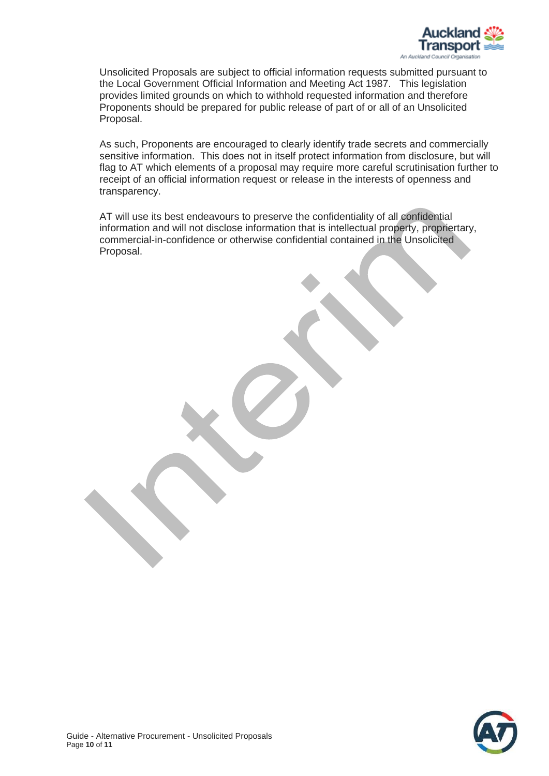

Unsolicited Proposals are subject to official information requests submitted pursuant to the Local Government Official Information and Meeting Act 1987. This legislation provides limited grounds on which to withhold requested information and therefore Proponents should be prepared for public release of part of or all of an Unsolicited Proposal.

As such, Proponents are encouraged to clearly identify trade secrets and commercially sensitive information. This does not in itself protect information from disclosure, but will flag to AT which elements of a proposal may require more careful scrutinisation further to receipt of an official information request or release in the interests of openness and transparency.

AT will use its best endeavours to preserve the confidentiality of all confidential information and will not disclose information that is intellectual property, propriertary, commercial-in-confidence or otherwise confidential contained in the Unsolicited Proposal.